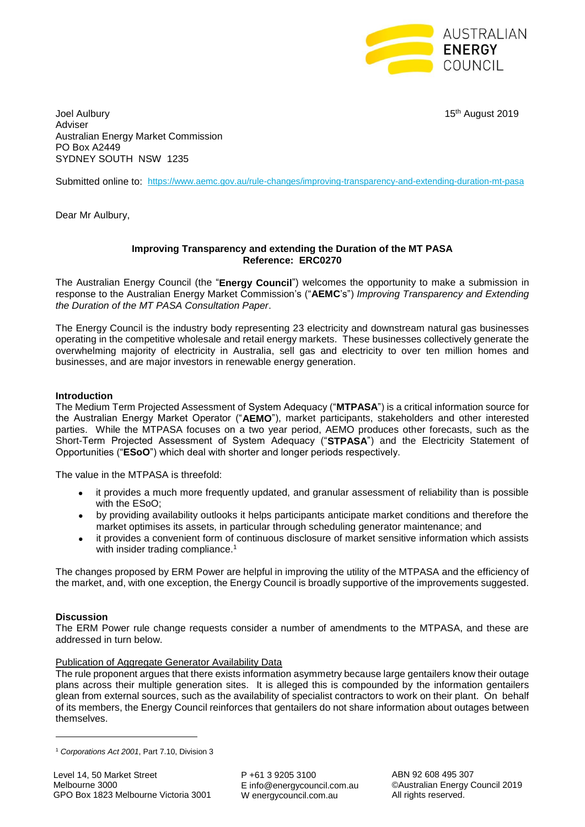

Joel Aulbury 15th August 2019 Adviser Australian Energy Market Commission PO Box A2449 SYDNEY SOUTH NSW 1235

Submitted online to: <https://www.aemc.gov.au/rule-changes/improving-transparency-and-extending-duration-mt-pasa>

Dear Mr Aulbury,

#### **Improving Transparency and extending the Duration of the MT PASA Reference: ERC0270**

The Australian Energy Council (the "**Energy Council**") welcomes the opportunity to make a submission in response to the Australian Energy Market Commission's ("**AEMC**'s") *Improving Transparency and Extending the Duration of the MT PASA Consultation Paper*.

The Energy Council is the industry body representing 23 electricity and downstream natural gas businesses operating in the competitive wholesale and retail energy markets. These businesses collectively generate the overwhelming majority of electricity in Australia, sell gas and electricity to over ten million homes and businesses, and are major investors in renewable energy generation.

## **Introduction**

The Medium Term Projected Assessment of System Adequacy ("**MTPASA**") is a critical information source for the Australian Energy Market Operator ("**AEMO**"), market participants, stakeholders and other interested parties. While the MTPASA focuses on a two year period, AEMO produces other forecasts, such as the Short-Term Projected Assessment of System Adequacy ("**STPASA**") and the Electricity Statement of Opportunities ("**ESoO**") which deal with shorter and longer periods respectively.

The value in the MTPASA is threefold:

- it provides a much more frequently updated, and granular assessment of reliability than is possible with the ESoO;
- by providing availability outlooks it helps participants anticipate market conditions and therefore the market optimises its assets, in particular through scheduling generator maintenance; and
- it provides a convenient form of continuous disclosure of market sensitive information which assists with insider trading compliance.<sup>1</sup>

The changes proposed by ERM Power are helpful in improving the utility of the MTPASA and the efficiency of the market, and, with one exception, the Energy Council is broadly supportive of the improvements suggested.

#### **Discussion**

**.** 

The ERM Power rule change requests consider a number of amendments to the MTPASA, and these are addressed in turn below.

#### Publication of Aggregate Generator Availability Data

The rule proponent argues that there exists information asymmetry because large gentailers know their outage plans across their multiple generation sites. It is alleged this is compounded by the information gentailers glean from external sources, such as the availability of specialist contractors to work on their plant. On behalf of its members, the Energy Council reinforces that gentailers do not share information about outages between themselves.

P +61 3 9205 3100 E info@energycouncil.com.au W energycouncil.com.au

ABN 92 608 495 307 ©Australian Energy Council 2019 All rights reserved.

<sup>1</sup> *Corporations Act 2001*, Part 7.10, Division 3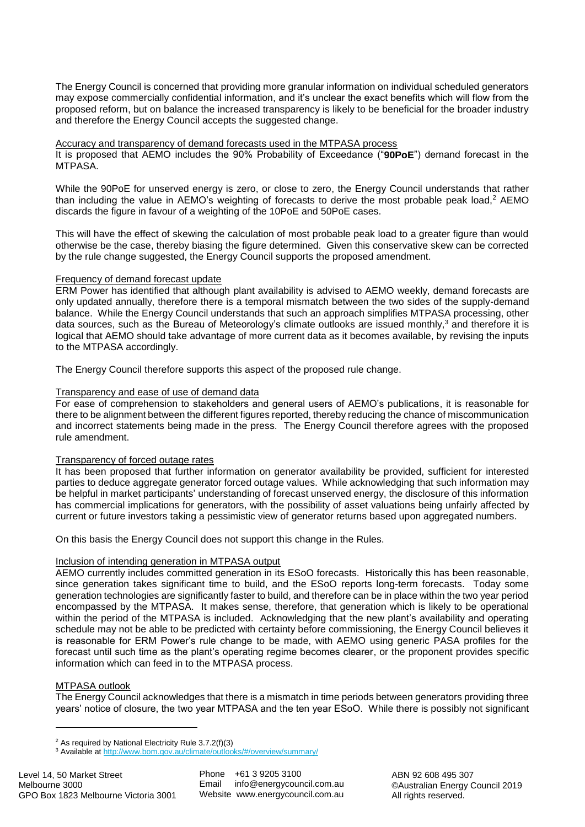The Energy Council is concerned that providing more granular information on individual scheduled generators may expose commercially confidential information, and it's unclear the exact benefits which will flow from the proposed reform, but on balance the increased transparency is likely to be beneficial for the broader industry and therefore the Energy Council accepts the suggested change.

#### Accuracy and transparency of demand forecasts used in the MTPASA process

It is proposed that AEMO includes the 90% Probability of Exceedance ("**90PoE**") demand forecast in the MTPASA.

While the 90PoE for unserved energy is zero, or close to zero, the Energy Council understands that rather than including the value in  $AEMO$ 's weighting of forecasts to derive the most probable peak load.<sup>2</sup>  $AEMO$ discards the figure in favour of a weighting of the 10PoE and 50PoE cases.

This will have the effect of skewing the calculation of most probable peak load to a greater figure than would otherwise be the case, thereby biasing the figure determined. Given this conservative skew can be corrected by the rule change suggested, the Energy Council supports the proposed amendment.

## Frequency of demand forecast update

ERM Power has identified that although plant availability is advised to AEMO weekly, demand forecasts are only updated annually, therefore there is a temporal mismatch between the two sides of the supply-demand balance. While the Energy Council understands that such an approach simplifies MTPASA processing, other data sources, such as the Bureau of Meteorology's climate outlooks are issued monthly, $3$  and therefore it is logical that AEMO should take advantage of more current data as it becomes available, by revising the inputs to the MTPASA accordingly.

The Energy Council therefore supports this aspect of the proposed rule change.

## Transparency and ease of use of demand data

For ease of comprehension to stakeholders and general users of AEMO's publications, it is reasonable for there to be alignment between the different figures reported, thereby reducing the chance of miscommunication and incorrect statements being made in the press. The Energy Council therefore agrees with the proposed rule amendment.

# Transparency of forced outage rates

It has been proposed that further information on generator availability be provided, sufficient for interested parties to deduce aggregate generator forced outage values. While acknowledging that such information may be helpful in market participants' understanding of forecast unserved energy, the disclosure of this information has commercial implications for generators, with the possibility of asset valuations being unfairly affected by current or future investors taking a pessimistic view of generator returns based upon aggregated numbers.

On this basis the Energy Council does not support this change in the Rules.

# Inclusion of intending generation in MTPASA output

AEMO currently includes committed generation in its ESoO forecasts. Historically this has been reasonable, since generation takes significant time to build, and the ESoO reports long-term forecasts. Today some generation technologies are significantly faster to build, and therefore can be in place within the two year period encompassed by the MTPASA. It makes sense, therefore, that generation which is likely to be operational within the period of the MTPASA is included. Acknowledging that the new plant's availability and operating schedule may not be able to be predicted with certainty before commissioning, the Energy Council believes it is reasonable for ERM Power's rule change to be made, with AEMO using generic PASA profiles for the forecast until such time as the plant's operating regime becomes clearer, or the proponent provides specific information which can feed in to the MTPASA process.

# MTPASA outlook

1

The Energy Council acknowledges that there is a mismatch in time periods between generators providing three years' notice of closure, the two year MTPASA and the ten year ESoO. While there is possibly not significant

<sup>2</sup> As required by National Electricity Rule 3.7.2(f)(3)

<sup>&</sup>lt;sup>3</sup> Available a[t http://www.bom.gov.au/climate/outlooks/#/overview/summary/](http://www.bom.gov.au/climate/outlooks/#/overview/summary/)